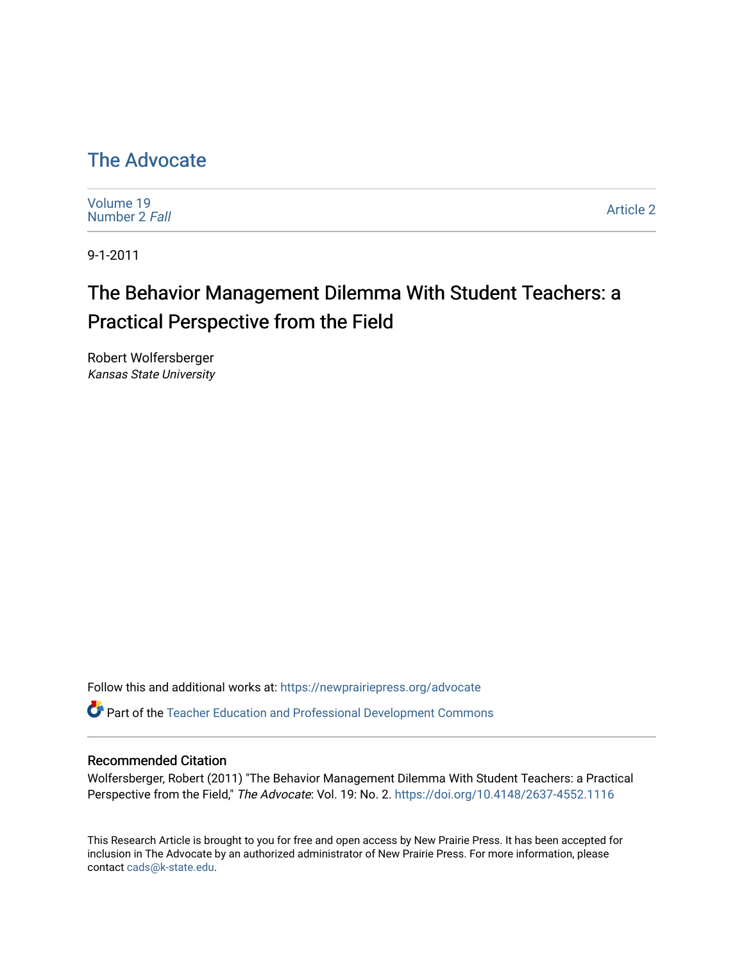# [The Advocate](https://newprairiepress.org/advocate)

| Volume 19     |  |  |
|---------------|--|--|
| Number 2 Fall |  |  |

[Article 2](https://newprairiepress.org/advocate/vol19/iss2/2) 

9-1-2011

# The Behavior Management Dilemma With Student Teachers: a Practical Perspective from the Field

Robert Wolfersberger Kansas State University

Follow this and additional works at: [https://newprairiepress.org/advocate](https://newprairiepress.org/advocate?utm_source=newprairiepress.org%2Fadvocate%2Fvol19%2Fiss2%2F2&utm_medium=PDF&utm_campaign=PDFCoverPages) 

Part of the [Teacher Education and Professional Development Commons](http://network.bepress.com/hgg/discipline/803?utm_source=newprairiepress.org%2Fadvocate%2Fvol19%2Fiss2%2F2&utm_medium=PDF&utm_campaign=PDFCoverPages) 

#### Recommended Citation

Wolfersberger, Robert (2011) "The Behavior Management Dilemma With Student Teachers: a Practical Perspective from the Field," The Advocate: Vol. 19: No. 2. https://doi.org/10.4148/2637-4552.1116

This Research Article is brought to you for free and open access by New Prairie Press. It has been accepted for inclusion in The Advocate by an authorized administrator of New Prairie Press. For more information, please contact [cads@k-state.edu](mailto:cads@k-state.edu).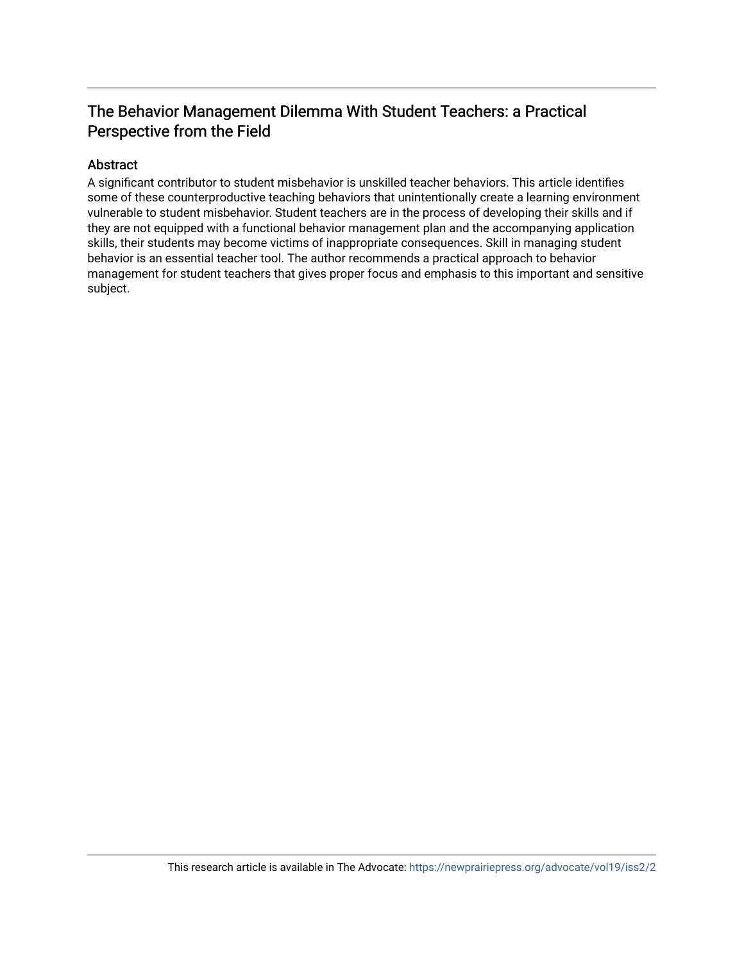# The Behavior Management Dilemma With Student Teachers: a Practical Perspective from the Field

#### Abstract

A significant contributor to student misbehavior is unskilled teacher behaviors. This article identifies some of these counterproductive teaching behaviors that unintentionally create a learning environment vulnerable to student misbehavior. Student teachers are in the process of developing their skills and if they are not equipped with a functional behavior management plan and the accompanying application skills, their students may become victims of inappropriate consequences. Skill in managing student behavior is an essential teacher tool. The author recommends a practical approach to behavior management for student teachers that gives proper focus and emphasis to this important and sensitive subject.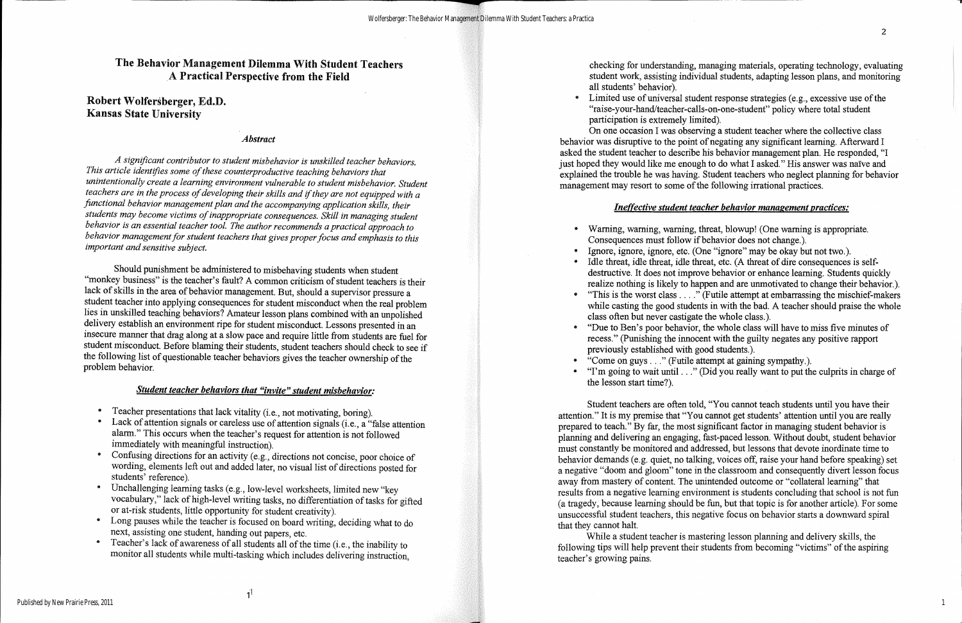## The Behavior Management Dilemma With Student Teachers A Practical Perspective from the Field

## Robert Wolfersberger, Ed.D. **Kansas State University**

#### **Abstract**

A significant contributor to student misbehavior is unskilled teacher behaviors. This article identifies some of these counterproductive teaching behaviors that unintentionally create a learning environment vulnerable to student misbehavior. Student teachers are in the process of developing their skills and if they are not equipped with a functional behavior management plan and the accompanying application skills, their students may become victims of inappropriate consequences. Skill in managing student behavior is an essential teacher tool. The author recommends a practical approach to behavior management for student teachers that gives proper focus and emphasis to this important and sensitive subject.

Should punishment be administered to misbehaving students when student "monkey business" is the teacher's fault? A common criticism of student teachers is their lack of skills in the area of behavior management. But, should a supervisor pressure a student teacher into applying consequences for student misconduct when the real problem lies in unskilled teaching behaviors? Amateur lesson plans combined with an unpolished delivery establish an environment ripe for student misconduct. Lessons presented in an insecure manner that drag along at a slow pace and require little from students are fuel for student misconduct. Before blaming their students, student teachers should check to see if the following list of questionable teacher behaviors gives the teacher ownership of the problem behavior.

#### Student teacher behaviors that "invite" student misbehavior:

- Teacher presentations that lack vitality (i.e., not motivating, boring).
- Lack of attention signals or careless use of attention signals (i.e., a "false attention" alarm." This occurs when the teacher's request for attention is not followed immediately with meaningful instruction).
- Confusing directions for an activity (e.g., directions not concise, poor choice of wording, elements left out and added later, no visual list of directions posted for students' reference).
- Unchallenging learning tasks (e.g., low-level worksheets, limited new "key  $\bullet$ vocabulary," lack of high-level writing tasks, no differentiation of tasks for gifted or at-risk students, little opportunity for student creativity).
- Long pauses while the teacher is focused on board writing, deciding what to do next, assisting one student, handing out papers, etc.
- Teacher's lack of awareness of all students all of the time (i.e., the inability to monitor all students while multi-tasking which includes delivering instruction.

checking for understanding, managing materials, operating technology, evaluating student work, assisting individual students, adapting lesson plans, and monitoring all students' behavior).

participation is extremely limited).

On one occasion I was observing a student teacher where the collective class behavior was disruptive to the point of negating any significant learning. Afterward I asked the student teacher to describe his behavior management plan. He responded, "I just hoped they would like me enough to do what I asked." His answer was naïve and explained the trouble he was having. Student teachers who neglect planning for behavior management may resort to some of the following irrational practices.

#### Ineffective student teacher behavior management practices:

- Consequences must follow if behavior does not change.).
- 
- 
- class often but never castigate the whole class.).
- previously established with good students.).
- "Come on guys . . ." (Futile attempt at gaining sympathy.).
- the lesson start time?).

Student teachers are often told, "You cannot teach students until you have their attention." It is my premise that "You cannot get students' attention until you are really prepared to teach." By far, the most significant factor in managing student behavior is planning and delivering an engaging, fast-paced lesson. Without doubt, student behavior must constantly be monitored and addressed, but lessons that devote inordinate time to behavior demands (e.g. quiet, no talking, voices off, raise your hand before speaking) set a negative "doom and gloom" tone in the classroom and consequently divert lesson focus away from mastery of content. The unintended outcome or "collateral learning" that results from a negative learning environment is students concluding that school is not fun (a tragedy, because learning should be fun, but that topic is for another article). For some unsuccessful student teachers, this negative focus on behavior starts a downward spiral that they cannot halt.

While a student teacher is mastering lesson planning and delivery skills, the following tips will help prevent their students from becoming "victims" of the aspiring teacher's growing pains.

Limited use of universal student response strategies (e.g., excessive use of the "raise-your-hand/teacher-calls-on-one-student" policy where total student

• Warning, warning, warning, threat, blowup! (One warning is appropriate.

Ignore, ignore, ignore, etc. (One "ignore" may be okay but not two.).

• Idle threat, idle threat, idle threat, etc. (A threat of dire consequences is selfdestructive. It does not improve behavior or enhance learning. Students quickly realize nothing is likely to happen and are unmotivated to change their behavior.). • "This is the worst class . . . ." (Futile attempt at embarrassing the mischief-makers while casting the good students in with the bad. A teacher should praise the whole

• "Due to Ben's poor behavior, the whole class will have to miss five minutes of recess." (Punishing the innocent with the guilty negates any positive rapport

"I'm going to wait until . . ." (Did you really want to put the culprits in charge of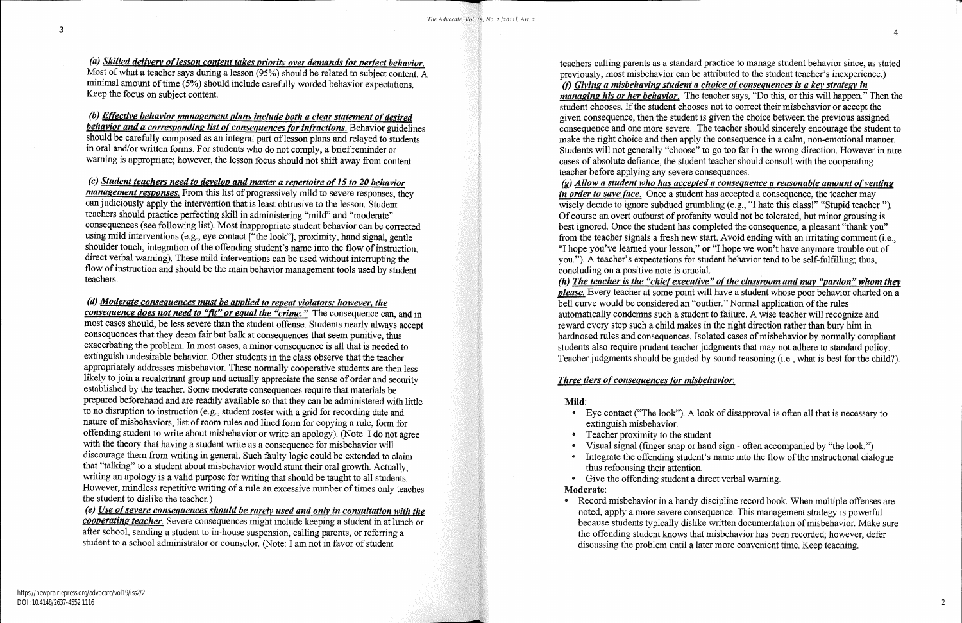(a) Skilled delivery of lesson content takes priority over demands for perfect behavior. Most of what a teacher says during a lesson (95%) should be related to subject content. A minimal amount of time (5%) should include carefully worded behavior expectations. Keep the focus on subject content.

(b) Effective behavior management plans include both a clear statement of desired behavior and a corresponding list of consequences for infractions. Behavior guidelines should be carefully composed as an integral part of lesson plans and relayed to students in oral and/or written forms. For students who do not comply, a brief reminder or warning is appropriate; however, the lesson focus should not shift away from content.

(c) Student teachers need to develop and master a repertoire of 15 to 20 behavior *management responses*. From this list of progressively mild to severe responses, they can judiciously apply the intervention that is least obtrusive to the lesson. Student teachers should practice perfecting skill in administering "mild" and "moderate" consequences (see following list). Most inappropriate student behavior can be corrected using mild interventions (e.g., eye contact ["the look"], proximity, hand signal, gentle shoulder touch, integration of the offending student's name into the flow of instruction, direct verbal warning). These mild interventions can be used without interrupting the flow of instruction and should be the main behavior management tools used by student teachers.

#### (d) Moderate consequences must be applied to repeat violators; however, the

consequence does not need to "fit" or equal the "crime." The consequence can, and in most cases should, be less severe than the student offense. Students nearly always accept consequences that they deem fair but balk at consequences that seem punitive, thus exacerbating the problem. In most cases, a minor consequence is all that is needed to extinguish undesirable behavior. Other students in the class observe that the teacher appropriately addresses misbehavior. These normally cooperative students are then less likely to join a recalcitrant group and actually appreciate the sense of order and security established by the teacher. Some moderate consequences require that materials be prepared beforehand and are readily available so that they can be administered with little to no disruption to instruction (e.g., student roster with a grid for recording date and nature of misbehaviors, list of room rules and lined form for copying a rule, form for offending student to write about misbehavior or write an apology). (Note: I do not agree with the theory that having a student write as a consequence for misbehavior will discourage them from writing in general. Such faulty logic could be extended to claim that "talking" to a student about misbehavior would stunt their oral growth. Actually, writing an apology is a valid purpose for writing that should be taught to all students. However, mindless repetitive writing of a rule an excessive number of times only teaches the student to dislike the teacher.)

(e) Use of severe consequences should be rarely used and only in consultation with the *cooperating teacher.* Severe consequences might include keeping a student in at lunch or after school, sending a student to in-house suspension, calling parents, or referring a student to a school administrator or counselor. (Note: I am not in favor of student

teachers calling parents as a standard practice to manage student behavior since, as stated previously, most misbehavior can be attributed to the student teacher's inexperience.) (f) Giving a misbehaving student a choice of consequences is a key strategy in *managing his or her behavior.* The teacher says, "Do this, or this will happen." Then the student chooses. If the student chooses not to correct their misbehavior or accept the given consequence, then the student is given the choice between the previous assigned consequence and one more severe. The teacher should sincerely encourage the student to make the right choice and then apply the consequence in a calm, non-emotional manner. Students will not generally "choose" to go too far in the wrong direction. However in rare cases of absolute defiance, the student teacher should consult with the cooperating teacher before applying any severe consequences.  $(g)$  Allow a student who has accepted a consequence a reasonable amount of venting *in order to save face.* Once a student has accepted a consequence, the teacher may wisely decide to ignore subdued grumbling (e.g., "I hate this class!" "Stupid teacher!"). Of course an overt outburst of profanity would not be tolerated, but minor grousing is best ignored. Once the student has completed the consequence, a pleasant "thank you" from the teacher signals a fresh new start. Avoid ending with an irritating comment (i.e., "I hope you've learned your lesson," or "I hope we won't have anymore trouble out of you."). A teacher's expectations for student behavior tend to be self-fulfilling; thus, concluding on a positive note is crucial. (h) The teacher is the "chief executive" of the classroom and may "pardon" whom they please. Every teacher at some point will have a student whose poor behavior charted on a bell curve would be considered an "outlier." Normal application of the rules automatically condemns such a student to failure. A wise teacher will recognize and reward every step such a child makes in the right direction rather than bury him in hardnosed rules and consequences. Isolated cases of misbehavior by normally compliant students also require prudent teacher judgments that may not adhere to standard policy. Teacher judgments should be guided by sound reasoning (i.e., what is best for the child?).

### Three tiers of consequences for misbehavior.

#### Mild:

- extinguish misbehavior.
- Teacher proximity to the student
- $\bullet$
- $\bullet$ thus refocusing their attention.
- Give the offending student a direct verbal warning. Moderate:
- 

• Eye contact ("The look"). A look of disapproval is often all that is necessary to

Visual signal (finger snap or hand sign - often accompanied by "the look.") Integrate the offending student's name into the flow of the instructional dialogue

Record misbehavior in a handy discipline record book. When multiple offenses are noted, apply a more severe consequence. This management strategy is powerful because students typically dislike written documentation of misbehavior. Make sure the offending student knows that misbehavior has been recorded; however, defer discussing the problem until a later more convenient time. Keep teaching.